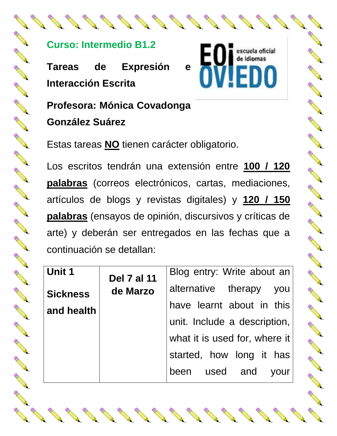## **Curso: Intermedio B1.2**

**Tareas de Expresión e Interacción Escrita**

escuela oficial de idiomas DO

A March 19

A Card Card Card

AND RD

A March 19

A March 15

A A A

A March 19

A Read of the Contract of the Contract of the Contract of The Contract of The Contract of The Contract of The

No.

Article of the contract of the contract of

**Contract of the Contract of the Contract of The Contract of The Contract of The Contract of The Contract of The Contract of The Contract of The Contract of The Contract of The Contract of The Contract of The Contract of T** 

**All Contracts** 

**Profesora: Mónica Covadonga González Suárez**

Estas tareas **NO** tienen carácter obligatorio.

Los escritos tendrán una extensión entre **100 / 120 palabras** (correos electrónicos, cartas, mediaciones, artículos de blogs y revistas digitales) y **120 / 150 palabras** (ensayos de opinión, discursivos y críticas de arte) y deberán ser entregados en las fechas que a continuación se detallan:

| Unit 1          | <b>Del 7 al 11</b><br>de Marzo | Blog entry: Write about an    |
|-----------------|--------------------------------|-------------------------------|
| <b>Sickness</b> |                                | alternative therapy you       |
| and health      |                                | have learnt about in this     |
|                 |                                | unit. Include a description,  |
|                 |                                | what it is used for, where it |
|                 |                                | started, how long it has      |
|                 |                                | been used and<br>vour         |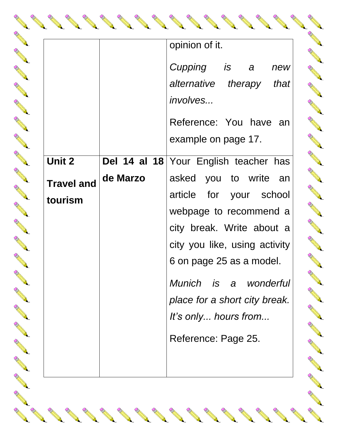|                   |          | opinion of it.                        |
|-------------------|----------|---------------------------------------|
|                   |          | Cupping<br>is a<br>new                |
|                   |          | alternative therapy<br>that           |
|                   |          | involves                              |
|                   |          | Reference: You have<br>an             |
|                   |          | example on page 17.                   |
| <b>Unit 2</b>     |          | Del 14 al 18 Your English teacher has |
| <b>Travel and</b> | de Marzo | asked you to write<br>an              |
| tourism           |          | article for your school               |
|                   |          | webpage to recommend a                |
|                   |          | city break. Write about a             |
|                   |          | city you like, using activity         |
|                   |          | 6 on page 25 as a model.              |
|                   |          | Munich is a wonderful                 |
|                   |          | place for a short city break.         |
|                   |          | It's only hours from                  |
|                   |          | Reference: Page 25.                   |
|                   |          |                                       |

AND ROAD

RA REA

A A

RA REA

RA R

A A

RANT RO

B RADIO

RA RE

RA RE

RA A

A A R

**AND READER** 

**AND** 

A A R

RA R

**RANT** 

A A

**AND RE** 

RA RE

A A

RA R

A RA

AND 1999

Rock Construction

AND 1999

North Carpenter

AND 1999

AND 1999

AND 1999

AND 1999

AND STREET

AND 1999

And a series of the contract of the

And a series of the contract of the

And a series of the contract of the

AND 1999

AND 1999

A Maria

**AND REA ANDER AND All Redison Redisonal Redison Redison Redison Redison Redison Redison Redison Redison Redison Red AND RE ANTICATION Contractions** RA REA **CONTROLLER Contractions AND READER RANTICO RANTINO REPORT AND READER ANTICATION ANTICATION REPORT ANTICAL RE CONTROLLER** A March Control R **Contraction of the Contraction Contraction Contraction Contraction Contraction Contraction Contraction Contraction Contraction Contraction Contraction Contraction Contraction Contraction Contraction Contraction Contractio**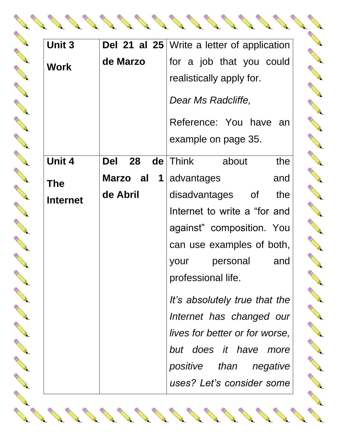|                                                                                                                                                                                                                                                           | Unit 3          |                         | Del 21 al 25   Write a letter of application |
|-----------------------------------------------------------------------------------------------------------------------------------------------------------------------------------------------------------------------------------------------------------|-----------------|-------------------------|----------------------------------------------|
| North Contract of the Contract of                                                                                                                                                                                                                         | <b>Work</b>     | de Marzo                | for a job that you could                     |
| EN 1979                                                                                                                                                                                                                                                   |                 |                         | realistically apply for.                     |
| <b>Contract of the Contract of the Contract of The Contract of The Contract of The Contract of The Contract of The Contract of The Contract of The Contract of The Contract of The Contract of The Contract of The Contract of T</b><br><b>CONTRACTOR</b> |                 |                         | Dear Ms Radcliffe,                           |
|                                                                                                                                                                                                                                                           |                 |                         | Reference: You have an                       |
| and the contract of the contract of                                                                                                                                                                                                                       |                 |                         | example on page 35.                          |
| <b>Contract Contract Contract Contract Contract Contract Contract Contract Contract Contract Contract Contract Contract Contract Contract Contract Contract Contract Contract Contract Contract Contract Contract Contract Contr</b>                      | Unit 4          | 28<br><b>Del</b><br>de  | Think<br>the<br>about                        |
| <b>Contract of the Contract of the Contract of The Contract of The Contract of The Contract of The Contract of The Contract of The Contract of The Contract of The Contract of The Contract of The Contract of The Contract of T</b>                      | <b>The</b>      | Marzo al<br>$\mathbf 1$ | advantages<br>and                            |
| <b>Contract of the Contract of the Contract of The Contract of The Contract of The Contract of The Contract of The Contract of The Contract of The Contract of The Contract of The Contract of The Contract of The Contract of T</b>                      | <b>Internet</b> | de Abril                | disadvantages<br>of<br>the                   |
|                                                                                                                                                                                                                                                           |                 |                         | Internet to write a "for and                 |
|                                                                                                                                                                                                                                                           |                 |                         | against" composition. You                    |
|                                                                                                                                                                                                                                                           |                 |                         | can use examples of both,                    |
|                                                                                                                                                                                                                                                           |                 |                         | personal<br>and<br>your                      |
|                                                                                                                                                                                                                                                           |                 |                         | professional life.                           |
|                                                                                                                                                                                                                                                           |                 |                         | It's absolutely true that the                |
|                                                                                                                                                                                                                                                           |                 |                         | Internet has changed our                     |
| No Capital Contract of the Contract of                                                                                                                                                                                                                    |                 |                         | lives for better or for worse,               |
| No. of the contract of the contract of                                                                                                                                                                                                                    |                 |                         | but does it have<br>more                     |
|                                                                                                                                                                                                                                                           |                 |                         | positive than negative                       |
|                                                                                                                                                                                                                                                           |                 |                         | uses? Let's consider some                    |
|                                                                                                                                                                                                                                                           |                 |                         |                                              |
|                                                                                                                                                                                                                                                           |                 |                         |                                              |

**AND REA** 

**ANDER** 

**ANDER** 

**All Redison Redisonal Redison Redison Redison Redison Redison Redison Redison Redison Redison Red** 

**AND RE** 

**ANTICATION** 

**Contractions** 

RA REA

**CONTROLLER** 

**Contractions** 

**AND READER** 

**ANTICAL REPORT** 

**RANTINO REPORT** 

**AND READER** 

**ANTICATION** 

**AND READER** 

**AND** 

**All All Redison Redisonal Redison Redison Redison Redison Redison Redison Redison Redison Redison Redison Red** 

**AND REA** 

Control R

**Contraction of the Contraction Contraction Contraction Contraction Contraction Contraction Contraction Contraction Contraction Contraction Contraction Contraction Contraction Contraction Contraction Contraction Contractio** 

A Maria

No. 18 of the Contract of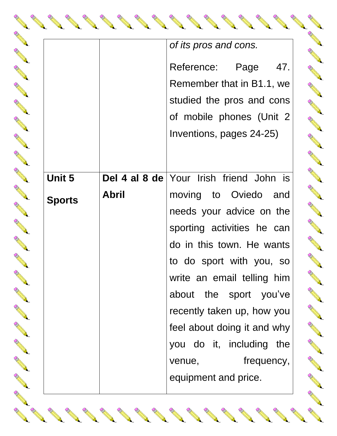|               |              | of its pros and cons.                          |  |  |  |
|---------------|--------------|------------------------------------------------|--|--|--|
|               |              | Reference:<br>Page<br>47.                      |  |  |  |
|               |              | Remember that in B1.1, we                      |  |  |  |
|               |              | studied the pros and cons                      |  |  |  |
|               |              | of mobile phones (Unit 2                       |  |  |  |
|               |              | Inventions, pages 24-25)                       |  |  |  |
|               |              |                                                |  |  |  |
| <b>Unit 5</b> |              | <b>Del 4 al 8 de</b> Your Irish friend John is |  |  |  |
|               |              |                                                |  |  |  |
| <b>Sports</b> | <b>Abril</b> | moving to Oviedo and                           |  |  |  |
|               |              | needs your advice on the                       |  |  |  |
|               |              | sporting activities he can                     |  |  |  |
|               |              | do in this town. He wants                      |  |  |  |
|               |              | to do sport with you, so                       |  |  |  |
|               |              | write an email telling him                     |  |  |  |
|               |              | about the sport you've                         |  |  |  |
|               |              | recently taken up, how you                     |  |  |  |
|               |              | feel about doing it and why                    |  |  |  |
|               |              | you do it, including the                       |  |  |  |
|               |              | frequency,<br>venue,                           |  |  |  |
|               |              | equipment and price.                           |  |  |  |
|               |              |                                                |  |  |  |

Control R

**CONTROLLER** 

And a series of the contract of the

And a series of the contract of the

BOOM AND AND RESPONDED

RANT ROOM

A A

**AND** 

**Contraction of the Contraction of the Contraction Contraction Contraction Contraction Contraction Contraction** 

RANT RE

A A R

RA A

B AND RO

A A R

RA REA

New Read

A A R

A REA

**CONTROLLER** 

A A R

A A R

**RANT** 

A A R

New Read

**ANTICATION** 

A A R

**RANTICO** 

NANT CONTROL

Rock Contract Contract Contract Contract Contract Contract Contract Contract Contract Contract Contract Contract Contract Contract Contract Contract Contract Contract Contract Contract Contract Contract Contract Contract C

BOOM AND A

AND STREET

RAND ROOM

North Contract of the Contract of

AND 1999

AND STREET

RAND ROOM

RAND ROOM

And a second contract of the contract of the contract of the contract of the contract of the contract of the contract of the contract of the contract of the contract of the contract of the contract of the contract of the c

And a second contract of the contract of the contract of the contract of the contract of the contract of the contract of the contract of the contract of the contract of the contract of the contract of the contract of the c

North Carpenter

No. of Contract of Contract of Contract of Contract of Contract of Contract of Contract of Contract of Contract of Contract of Contract of Contract of Contract of Contract of Contract of Contract of Contract of Contract of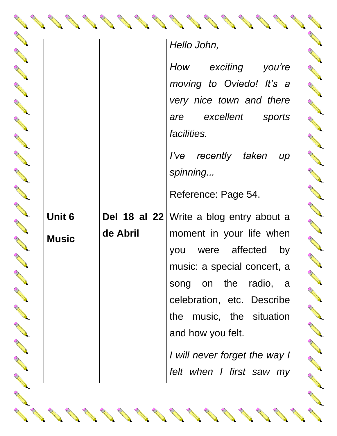|              |          | Hello John,<br>exciting<br>How<br>you're      |
|--------------|----------|-----------------------------------------------|
|              |          | moving to Oviedo! It's a                      |
|              |          | very nice town and there                      |
|              |          | excellent<br>sports<br>are<br>facilities.     |
|              |          | I've recently taken<br>$\mu$<br>spinning      |
|              |          | Reference: Page 54.                           |
| Unit 6       |          | Del 18 al 22 Write a blog entry about a       |
| <b>Music</b> | de Abril | moment in your life when                      |
|              |          | were affected<br>by<br>you                    |
|              |          | music: a special concert, a                   |
|              |          | on the<br>radio,<br>song<br>- a               |
|              |          | celebration, etc. Describe                    |
|              |          | the music, the situation<br>and how you felt. |
|              |          | I will never forget the way I                 |
|              |          | felt when I first saw my                      |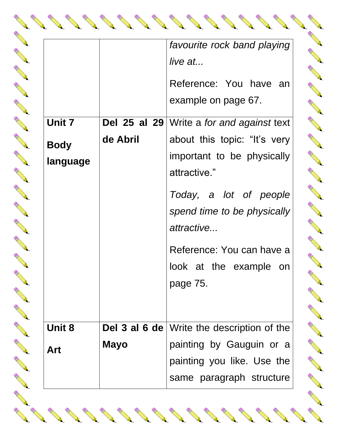|             |             | favourite rock band playing<br>live at            |
|-------------|-------------|---------------------------------------------------|
|             |             | Reference: You have an<br>example on page 67.     |
| Unit 7      |             | Del 25 al 29   Write a for and against text       |
| <b>Body</b> | de Abril    | about this topic: "It's very                      |
| language    |             | important to be physically<br>attractive."        |
|             |             | Today, a lot of people                            |
|             |             | spend time to be physically                       |
|             |             | attractive                                        |
|             |             | Reference: You can have a                         |
|             |             | look at the example<br>on                         |
|             |             | page 75.                                          |
| Unit 8      |             | <b>Del 3 al 6 de</b> Write the description of the |
| Art         | <b>Mayo</b> | painting by Gauguin or a                          |
|             |             | painting you like. Use the                        |
|             |             | same paragraph structure                          |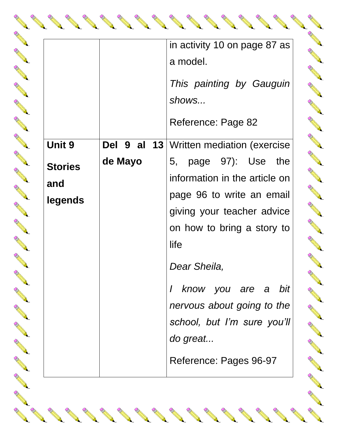|                                                   |                     | in activity 10 on page 87 as<br>a model.<br>This painting by Gauguin<br>shows<br>Reference: Page 82                                                                                                                                                                                                                                                           |
|---------------------------------------------------|---------------------|---------------------------------------------------------------------------------------------------------------------------------------------------------------------------------------------------------------------------------------------------------------------------------------------------------------------------------------------------------------|
| <b>Unit 9</b><br><b>Stories</b><br>and<br>legends | Del 9 al<br>de Mayo | <b>13</b> Written mediation (exercise<br>5, page 97): Use<br>the<br>information in the article on<br>page 96 to write an email<br>giving your teacher advice<br>on how to bring a story to<br>life<br>Dear Sheila,<br>know you are a bit<br>$\overline{I}$<br>nervous about going to the<br>school, but I'm sure you'll<br>do great<br>Reference: Pages 96-97 |

And a second contract of the contract of the contract of the contract of the contract of the contract of the contract of the contract of the contract of the contract of the contract of the contract of the contract of the c

AND 1999

And a series of the contract of the

And a second contract of the contract of

North Carpenter

AND 1999

AND ROAD

RA REA

A A

RA RE

RA R

A A

RA REA

B RADIO

RA REA

RA REA

RA A

A A R

**AND REA** 

**AND** 

A A R

RA R

**RANT** 

A A

**AND RE** 

A A R

A A

RA R

A RA

AND 1999

Rock Contract Contract Contract Contract Contract Contract Contract Contract Contract Contract Contract Contract Contract Contract Contract Contract Contract Contract Contract Contract Contract Contract Contract Contract C

Rock Contract Contract Contract Contract Contract Contract Contract Contract Contract Contract Contract Contract Contract Contract Contract Contract Contract Contract Contract Contract Contract Contract Contract Contract C

Row Barnet

AND 1999

AND 1999

Row Barnet

Row Barnes

**AND REA ANDER** A A A **AND READER ANDER ANTICATION Contractions** RA REA **RANTICO AND READER AND READER RANTICO ANTICATION AND READER ANTICATION AND READER AND SANTA** A REA Control R **Contraction of the Contraction Contraction Contraction Contraction Contraction Contraction Contraction Contraction Contraction Contraction Contraction Contraction Contraction Contraction Contraction Contraction Contractio** AND 1999 **Contract of the Contract of the Contract of the Contract of the Contract of the Contract of the Contract of the Contract of the Contract of The Contract of The Contract of The Contract of The Contract of The Contract of T**